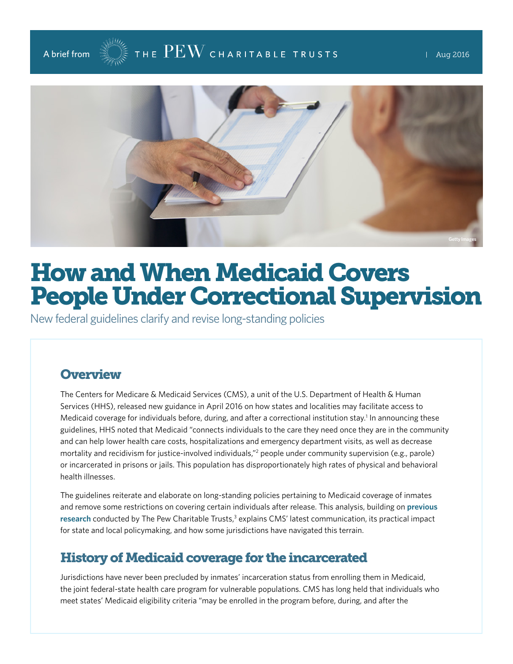



# How and When Medicaid Covers People Under Correctional Supervision

New federal guidelines clarify and revise long-standing policies

# **Overview**

The Centers for Medicare & Medicaid Services (CMS), a unit of the U.S. Department of Health & Human Services (HHS), released new guidance in April 2016 on how states and localities may facilitate access to Medicaid coverage for individuals before, during, and after a correctional institution stay.<sup>1</sup> In announcing these guidelines, HHS noted that Medicaid "connects individuals to the care they need once they are in the community and can help lower health care costs, hospitalizations and emergency department visits, as well as decrease mortality and recidivism for justice-involved individuals,"<sup>2</sup> people under community supervision (e.g., parole) or incarcerated in prisons or jails. This population has disproportionately high rates of physical and behavioral health illnesses.

The guidelines reiterate and elaborate on long-standing policies pertaining to Medicaid coverage of inmates and remove some restrictions on covering certain individuals after release. This analysis, building on **[previous](http://www.pewtrusts.org/en/research-and-analysis/issue-briefs/2015/12/how-medicaid-enrollment-of-inmates-facilitates-health-coverage-after-release)**  [research](http://www.pewtrusts.org/en/research-and-analysis/issue-briefs/2015/12/how-medicaid-enrollment-of-inmates-facilitates-health-coverage-after-release) conducted by The Pew Charitable Trusts,<sup>3</sup> explains CMS' latest communication, its practical impact for state and local policymaking, and how some jurisdictions have navigated this terrain.

# History of Medicaid coverage for the incarcerated

Jurisdictions have never been precluded by inmates' incarceration status from enrolling them in Medicaid, the joint federal-state health care program for vulnerable populations. CMS has long held that individuals who meet states' Medicaid eligibility criteria "may be enrolled in the program before, during, and after the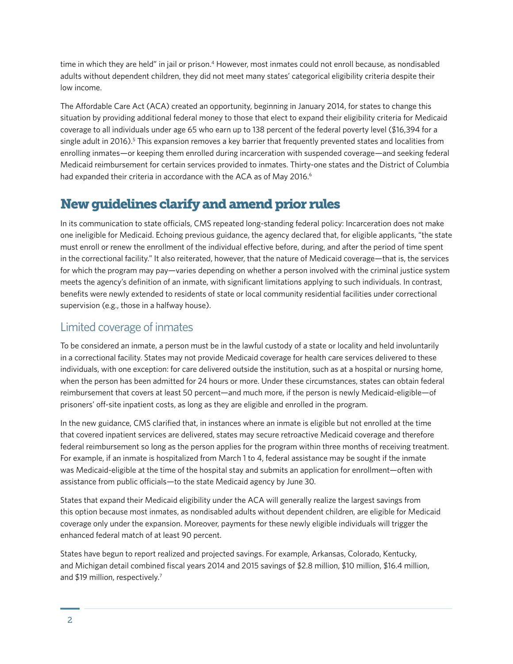time in which they are held" in jail or prison.<sup>4</sup> However, most inmates could not enroll because, as nondisabled adults without dependent children, they did not meet many states' categorical eligibility criteria despite their low income.

The Affordable Care Act (ACA) created an opportunity, beginning in January 2014, for states to change this situation by providing additional federal money to those that elect to expand their eligibility criteria for Medicaid coverage to all individuals under age 65 who earn up to 138 percent of the federal poverty level (\$16,394 for a single adult in 2016).<sup>5</sup> This expansion removes a key barrier that frequently prevented states and localities from enrolling inmates—or keeping them enrolled during incarceration with suspended coverage—and seeking federal Medicaid reimbursement for certain services provided to inmates. Thirty-one states and the District of Columbia had expanded their criteria in accordance with the ACA as of May 2016.<sup>6</sup>

# New guidelines clarify and amend prior rules

In its communication to state officials, CMS repeated long-standing federal policy: Incarceration does not make one ineligible for Medicaid. Echoing previous guidance, the agency declared that, for eligible applicants, "the state must enroll or renew the enrollment of the individual effective before, during, and after the period of time spent in the correctional facility." It also reiterated, however, that the nature of Medicaid coverage—that is, the services for which the program may pay—varies depending on whether a person involved with the criminal justice system meets the agency's definition of an inmate, with significant limitations applying to such individuals. In contrast, benefits were newly extended to residents of state or local community residential facilities under correctional supervision (e.g., those in a halfway house).

# Limited coverage of inmates

To be considered an inmate, a person must be in the lawful custody of a state or locality and held involuntarily in a correctional facility. States may not provide Medicaid coverage for health care services delivered to these individuals, with one exception: for care delivered outside the institution, such as at a hospital or nursing home, when the person has been admitted for 24 hours or more. Under these circumstances, states can obtain federal reimbursement that covers at least 50 percent—and much more, if the person is newly Medicaid-eligible—of prisoners' off-site inpatient costs, as long as they are eligible and enrolled in the program.

In the new guidance, CMS clarified that, in instances where an inmate is eligible but not enrolled at the time that covered inpatient services are delivered, states may secure retroactive Medicaid coverage and therefore federal reimbursement so long as the person applies for the program within three months of receiving treatment. For example, if an inmate is hospitalized from March 1 to 4, federal assistance may be sought if the inmate was Medicaid-eligible at the time of the hospital stay and submits an application for enrollment—often with assistance from public officials—to the state Medicaid agency by June 30.

States that expand their Medicaid eligibility under the ACA will generally realize the largest savings from this option because most inmates, as nondisabled adults without dependent children, are eligible for Medicaid coverage only under the expansion. Moreover, payments for these newly eligible individuals will trigger the enhanced federal match of at least 90 percent.

States have begun to report realized and projected savings. For example, Arkansas, Colorado, Kentucky, and Michigan detail combined fiscal years 2014 and 2015 savings of \$2.8 million, \$10 million, \$16.4 million, and \$19 million, respectively.<sup>7</sup>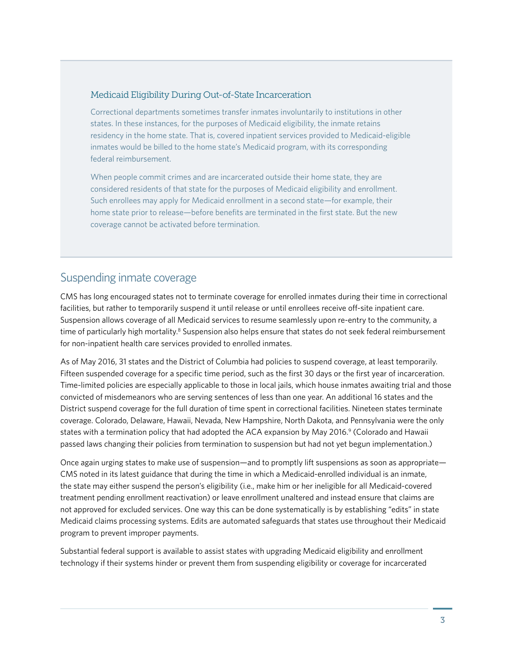#### Medicaid Eligibility During Out-of-State Incarceration

Correctional departments sometimes transfer inmates involuntarily to institutions in other states. In these instances, for the purposes of Medicaid eligibility, the inmate retains residency in the home state. That is, covered inpatient services provided to Medicaid-eligible inmates would be billed to the home state's Medicaid program, with its corresponding federal reimbursement.

When people commit crimes and are incarcerated outside their home state, they are considered residents of that state for the purposes of Medicaid eligibility and enrollment. Such enrollees may apply for Medicaid enrollment in a second state—for example, their home state prior to release—before benefits are terminated in the first state. But the new coverage cannot be activated before termination.

### Suspending inmate coverage

CMS has long encouraged states not to terminate coverage for enrolled inmates during their time in correctional facilities, but rather to temporarily suspend it until release or until enrollees receive off-site inpatient care. Suspension allows coverage of all Medicaid services to resume seamlessly upon re-entry to the community, a time of particularly high mortality.<sup>8</sup> Suspension also helps ensure that states do not seek federal reimbursement for non-inpatient health care services provided to enrolled inmates.

As of May 2016, 31 states and the District of Columbia had policies to suspend coverage, at least temporarily. Fifteen suspended coverage for a specific time period, such as the first 30 days or the first year of incarceration. Time-limited policies are especially applicable to those in local jails, which house inmates awaiting trial and those convicted of misdemeanors who are serving sentences of less than one year. An additional 16 states and the District suspend coverage for the full duration of time spent in correctional facilities. Nineteen states terminate coverage. Colorado, Delaware, Hawaii, Nevada, New Hampshire, North Dakota, and Pennsylvania were the only states with a termination policy that had adopted the ACA expansion by May 2016.<sup>9</sup> (Colorado and Hawaii passed laws changing their policies from termination to suspension but had not yet begun implementation.)

Once again urging states to make use of suspension—and to promptly lift suspensions as soon as appropriate— CMS noted in its latest guidance that during the time in which a Medicaid-enrolled individual is an inmate, the state may either suspend the person's eligibility (i.e., make him or her ineligible for all Medicaid-covered treatment pending enrollment reactivation) or leave enrollment unaltered and instead ensure that claims are not approved for excluded services. One way this can be done systematically is by establishing "edits" in state Medicaid claims processing systems. Edits are automated safeguards that states use throughout their Medicaid program to prevent improper payments.

Substantial federal support is available to assist states with upgrading Medicaid eligibility and enrollment technology if their systems hinder or prevent them from suspending eligibility or coverage for incarcerated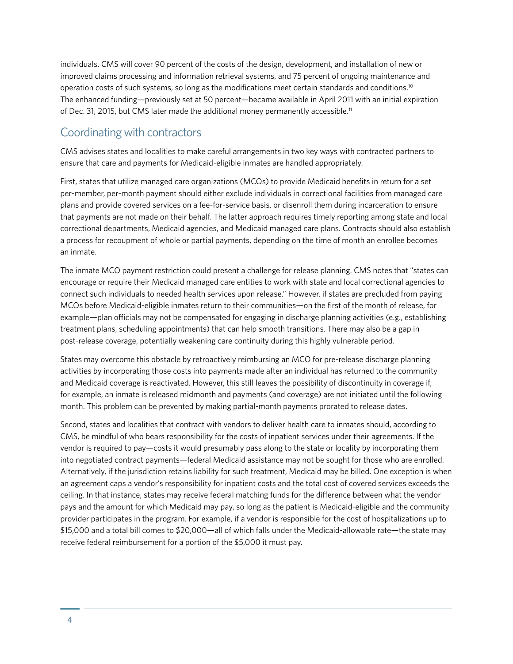individuals. CMS will cover 90 percent of the costs of the design, development, and installation of new or improved claims processing and information retrieval systems, and 75 percent of ongoing maintenance and operation costs of such systems, so long as the modifications meet certain standards and conditions.10 The enhanced funding—previously set at 50 percent—became available in April 2011 with an initial expiration of Dec. 31, 2015, but CMS later made the additional money permanently accessible.<sup>11</sup>

# Coordinating with contractors

CMS advises states and localities to make careful arrangements in two key ways with contracted partners to ensure that care and payments for Medicaid-eligible inmates are handled appropriately.

First, states that utilize managed care organizations (MCOs) to provide Medicaid benefits in return for a set per-member, per-month payment should either exclude individuals in correctional facilities from managed care plans and provide covered services on a fee-for-service basis, or disenroll them during incarceration to ensure that payments are not made on their behalf. The latter approach requires timely reporting among state and local correctional departments, Medicaid agencies, and Medicaid managed care plans. Contracts should also establish a process for recoupment of whole or partial payments, depending on the time of month an enrollee becomes an inmate.

The inmate MCO payment restriction could present a challenge for release planning. CMS notes that "states can encourage or require their Medicaid managed care entities to work with state and local correctional agencies to connect such individuals to needed health services upon release." However, if states are precluded from paying MCOs before Medicaid-eligible inmates return to their communities—on the first of the month of release, for example—plan officials may not be compensated for engaging in discharge planning activities (e.g., establishing treatment plans, scheduling appointments) that can help smooth transitions. There may also be a gap in post-release coverage, potentially weakening care continuity during this highly vulnerable period.

States may overcome this obstacle by retroactively reimbursing an MCO for pre-release discharge planning activities by incorporating those costs into payments made after an individual has returned to the community and Medicaid coverage is reactivated. However, this still leaves the possibility of discontinuity in coverage if, for example, an inmate is released midmonth and payments (and coverage) are not initiated until the following month. This problem can be prevented by making partial-month payments prorated to release dates.

Second, states and localities that contract with vendors to deliver health care to inmates should, according to CMS, be mindful of who bears responsibility for the costs of inpatient services under their agreements. If the vendor is required to pay—costs it would presumably pass along to the state or locality by incorporating them into negotiated contract payments—federal Medicaid assistance may not be sought for those who are enrolled. Alternatively, if the jurisdiction retains liability for such treatment, Medicaid may be billed. One exception is when an agreement caps a vendor's responsibility for inpatient costs and the total cost of covered services exceeds the ceiling. In that instance, states may receive federal matching funds for the difference between what the vendor pays and the amount for which Medicaid may pay, so long as the patient is Medicaid-eligible and the community provider participates in the program. For example, if a vendor is responsible for the cost of hospitalizations up to \$15,000 and a total bill comes to \$20,000—all of which falls under the Medicaid-allowable rate—the state may receive federal reimbursement for a portion of the \$5,000 it must pay.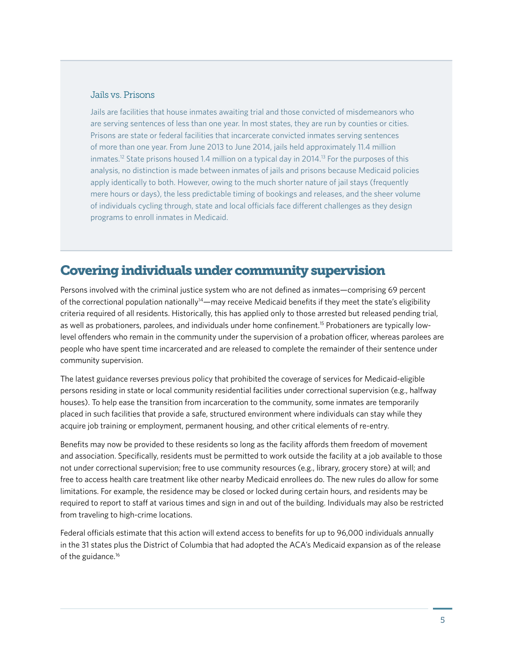#### Jails vs. Prisons

Jails are facilities that house inmates awaiting trial and those convicted of misdemeanors who are serving sentences of less than one year. In most states, they are run by counties or cities. Prisons are state or federal facilities that incarcerate convicted inmates serving sentences of more than one year. From June 2013 to June 2014, jails held approximately 11.4 million inmates.<sup>12</sup> State prisons housed 1.4 million on a typical day in 2014.<sup>13</sup> For the purposes of this analysis, no distinction is made between inmates of jails and prisons because Medicaid policies apply identically to both. However, owing to the much shorter nature of jail stays (frequently mere hours or days), the less predictable timing of bookings and releases, and the sheer volume of individuals cycling through, state and local officials face different challenges as they design programs to enroll inmates in Medicaid.

# Covering individuals under community supervision

Persons involved with the criminal justice system who are not defined as inmates—comprising 69 percent of the correctional population nationally14—may receive Medicaid benefits if they meet the state's eligibility criteria required of all residents. Historically, this has applied only to those arrested but released pending trial, as well as probationers, parolees, and individuals under home confinement.15 Probationers are typically lowlevel offenders who remain in the community under the supervision of a probation officer, whereas parolees are people who have spent time incarcerated and are released to complete the remainder of their sentence under community supervision.

The latest guidance reverses previous policy that prohibited the coverage of services for Medicaid-eligible persons residing in state or local community residential facilities under correctional supervision (e.g., halfway houses). To help ease the transition from incarceration to the community, some inmates are temporarily placed in such facilities that provide a safe, structured environment where individuals can stay while they acquire job training or employment, permanent housing, and other critical elements of re-entry.

Benefits may now be provided to these residents so long as the facility affords them freedom of movement and association. Specifically, residents must be permitted to work outside the facility at a job available to those not under correctional supervision; free to use community resources (e.g., library, grocery store) at will; and free to access health care treatment like other nearby Medicaid enrollees do. The new rules do allow for some limitations. For example, the residence may be closed or locked during certain hours, and residents may be required to report to staff at various times and sign in and out of the building. Individuals may also be restricted from traveling to high-crime locations.

Federal officials estimate that this action will extend access to benefits for up to 96,000 individuals annually in the 31 states plus the District of Columbia that had adopted the ACA's Medicaid expansion as of the release of the guidance.<sup>16</sup>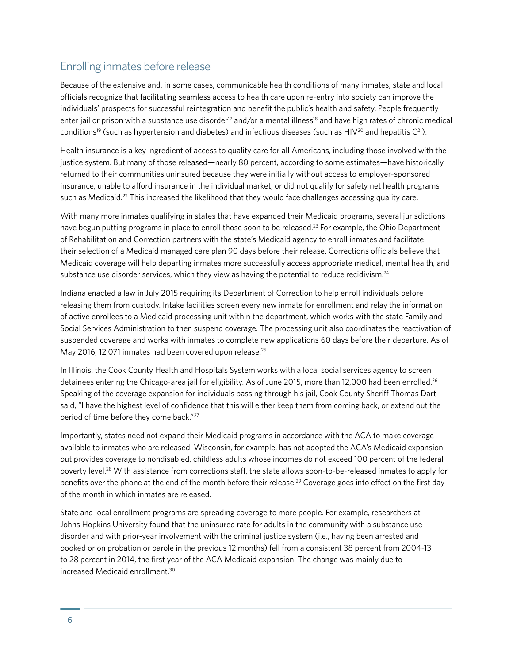# Enrolling inmates before release

Because of the extensive and, in some cases, communicable health conditions of many inmates, state and local officials recognize that facilitating seamless access to health care upon re-entry into society can improve the individuals' prospects for successful reintegration and benefit the public's health and safety. People frequently enter jail or prison with a substance use disorder<sup>17</sup> and/or a mental illness<sup>18</sup> and have high rates of chronic medical conditions<sup>19</sup> (such as hypertension and diabetes) and infectious diseases (such as HIV<sup>20</sup> and hepatitis  $C^{21}$ ).

Health insurance is a key ingredient of access to quality care for all Americans, including those involved with the justice system. But many of those released—nearly 80 percent, according to some estimates—have historically returned to their communities uninsured because they were initially without access to employer-sponsored insurance, unable to afford insurance in the individual market, or did not qualify for safety net health programs such as Medicaid.<sup>22</sup> This increased the likelihood that they would face challenges accessing quality care.

With many more inmates qualifying in states that have expanded their Medicaid programs, several jurisdictions have begun putting programs in place to enroll those soon to be released.<sup>23</sup> For example, the Ohio Department of Rehabilitation and Correction partners with the state's Medicaid agency to enroll inmates and facilitate their selection of a Medicaid managed care plan 90 days before their release. Corrections officials believe that Medicaid coverage will help departing inmates more successfully access appropriate medical, mental health, and substance use disorder services, which they view as having the potential to reduce recidivism.<sup>24</sup>

Indiana enacted a law in July 2015 requiring its Department of Correction to help enroll individuals before releasing them from custody. Intake facilities screen every new inmate for enrollment and relay the information of active enrollees to a Medicaid processing unit within the department, which works with the state Family and Social Services Administration to then suspend coverage. The processing unit also coordinates the reactivation of suspended coverage and works with inmates to complete new applications 60 days before their departure. As of May 2016, 12,071 inmates had been covered upon release.<sup>25</sup>

In Illinois, the Cook County Health and Hospitals System works with a local social services agency to screen detainees entering the Chicago-area jail for eligibility. As of June 2015, more than 12,000 had been enrolled.<sup>26</sup> Speaking of the coverage expansion for individuals passing through his jail, Cook County Sheriff Thomas Dart said, "I have the highest level of confidence that this will either keep them from coming back, or extend out the period of time before they come back."27

Importantly, states need not expand their Medicaid programs in accordance with the ACA to make coverage available to inmates who are released. Wisconsin, for example, has not adopted the ACA's Medicaid expansion but provides coverage to nondisabled, childless adults whose incomes do not exceed 100 percent of the federal poverty level.28 With assistance from corrections staff, the state allows soon-to-be-released inmates to apply for benefits over the phone at the end of the month before their release.<sup>29</sup> Coverage goes into effect on the first day of the month in which inmates are released.

State and local enrollment programs are spreading coverage to more people. For example, researchers at Johns Hopkins University found that the uninsured rate for adults in the community with a substance use disorder and with prior-year involvement with the criminal justice system (i.e., having been arrested and booked or on probation or parole in the previous 12 months) fell from a consistent 38 percent from 2004-13 to 28 percent in 2014, the first year of the ACA Medicaid expansion. The change was mainly due to increased Medicaid enrollment.30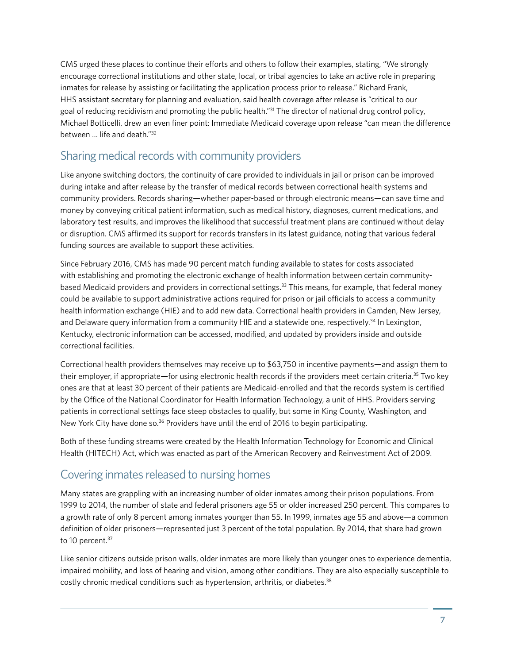CMS urged these places to continue their efforts and others to follow their examples, stating, "We strongly encourage correctional institutions and other state, local, or tribal agencies to take an active role in preparing inmates for release by assisting or facilitating the application process prior to release." Richard Frank, HHS assistant secretary for planning and evaluation, said health coverage after release is "critical to our goal of reducing recidivism and promoting the public health."31 The director of national drug control policy, Michael Botticelli, drew an even finer point: Immediate Medicaid coverage upon release "can mean the difference between … life and death."32

# Sharing medical records with community providers

Like anyone switching doctors, the continuity of care provided to individuals in jail or prison can be improved during intake and after release by the transfer of medical records between correctional health systems and community providers. Records sharing—whether paper-based or through electronic means—can save time and money by conveying critical patient information, such as medical history, diagnoses, current medications, and laboratory test results, and improves the likelihood that successful treatment plans are continued without delay or disruption. CMS affirmed its support for records transfers in its latest guidance, noting that various federal funding sources are available to support these activities.

Since February 2016, CMS has made 90 percent match funding available to states for costs associated with establishing and promoting the electronic exchange of health information between certain communitybased Medicaid providers and providers in correctional settings.33 This means, for example, that federal money could be available to support administrative actions required for prison or jail officials to access a community health information exchange (HIE) and to add new data. Correctional health providers in Camden, New Jersey, and Delaware query information from a community HIE and a statewide one, respectively.<sup>34</sup> In Lexington, Kentucky, electronic information can be accessed, modified, and updated by providers inside and outside correctional facilities.

Correctional health providers themselves may receive up to \$63,750 in incentive payments—and assign them to their employer, if appropriate—for using electronic health records if the providers meet certain criteria.35 Two key ones are that at least 30 percent of their patients are Medicaid-enrolled and that the records system is certified by the Office of the National Coordinator for Health Information Technology, a unit of HHS. Providers serving patients in correctional settings face steep obstacles to qualify, but some in King County, Washington, and New York City have done so.<sup>36</sup> Providers have until the end of 2016 to begin participating.

Both of these funding streams were created by the Health Information Technology for Economic and Clinical Health (HITECH) Act, which was enacted as part of the American Recovery and Reinvestment Act of 2009.

### Covering inmates released to nursing homes

Many states are grappling with an increasing number of older inmates among their prison populations. From 1999 to 2014, the number of state and federal prisoners age 55 or older increased 250 percent. This compares to a growth rate of only 8 percent among inmates younger than 55. In 1999, inmates age 55 and above—a common definition of older prisoners—represented just 3 percent of the total population. By 2014, that share had grown to 10 percent.<sup>37</sup>

Like senior citizens outside prison walls, older inmates are more likely than younger ones to experience dementia, impaired mobility, and loss of hearing and vision, among other conditions. They are also especially susceptible to costly chronic medical conditions such as hypertension, arthritis, or diabetes.<sup>38</sup>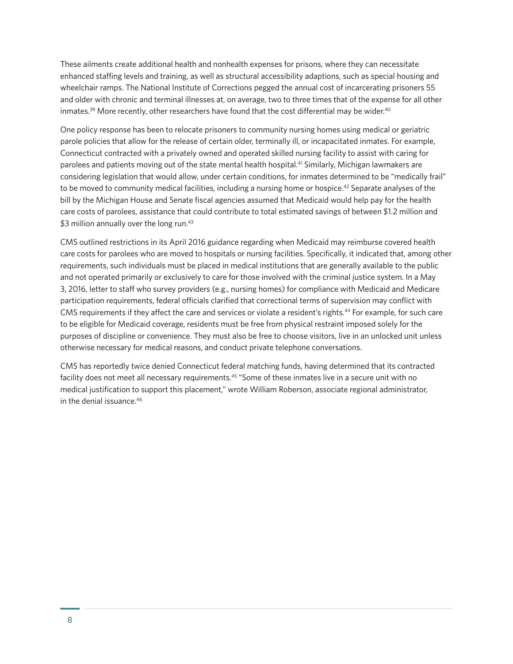These ailments create additional health and nonhealth expenses for prisons, where they can necessitate enhanced staffing levels and training, as well as structural accessibility adaptions, such as special housing and wheelchair ramps. The National Institute of Corrections pegged the annual cost of incarcerating prisoners 55 and older with chronic and terminal illnesses at, on average, two to three times that of the expense for all other inmates.<sup>39</sup> More recently, other researchers have found that the cost differential may be wider.<sup>40</sup>

One policy response has been to relocate prisoners to community nursing homes using medical or geriatric parole policies that allow for the release of certain older, terminally ill, or incapacitated inmates. For example, Connecticut contracted with a privately owned and operated skilled nursing facility to assist with caring for parolees and patients moving out of the state mental health hospital.41 Similarly, Michigan lawmakers are considering legislation that would allow, under certain conditions, for inmates determined to be "medically frail" to be moved to community medical facilities, including a nursing home or hospice.<sup>42</sup> Separate analyses of the bill by the Michigan House and Senate fiscal agencies assumed that Medicaid would help pay for the health care costs of parolees, assistance that could contribute to total estimated savings of between \$1.2 million and \$3 million annually over the long run.<sup>43</sup>

CMS outlined restrictions in its April 2016 guidance regarding when Medicaid may reimburse covered health care costs for parolees who are moved to hospitals or nursing facilities. Specifically, it indicated that, among other requirements, such individuals must be placed in medical institutions that are generally available to the public and not operated primarily or exclusively to care for those involved with the criminal justice system. In a May 3, 2016, letter to staff who survey providers (e.g., nursing homes) for compliance with Medicaid and Medicare participation requirements, federal officials clarified that correctional terms of supervision may conflict with CMS requirements if they affect the care and services or violate a resident's rights.<sup>44</sup> For example, for such care to be eligible for Medicaid coverage, residents must be free from physical restraint imposed solely for the purposes of discipline or convenience. They must also be free to choose visitors, live in an unlocked unit unless otherwise necessary for medical reasons, and conduct private telephone conversations.

CMS has reportedly twice denied Connecticut federal matching funds, having determined that its contracted facility does not meet all necessary requirements.<sup>45</sup> "Some of these inmates live in a secure unit with no medical justification to support this placement," wrote William Roberson, associate regional administrator, in the denial issuance.46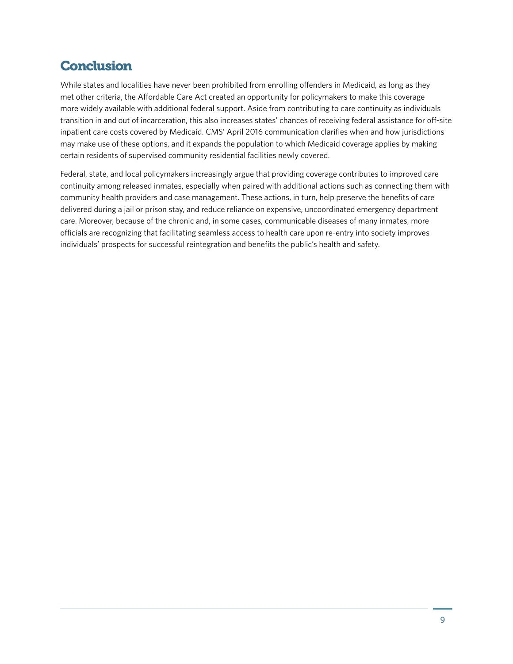# **Conclusion**

While states and localities have never been prohibited from enrolling offenders in Medicaid, as long as they met other criteria, the Affordable Care Act created an opportunity for policymakers to make this coverage more widely available with additional federal support. Aside from contributing to care continuity as individuals transition in and out of incarceration, this also increases states' chances of receiving federal assistance for off-site inpatient care costs covered by Medicaid. CMS' April 2016 communication clarifies when and how jurisdictions may make use of these options, and it expands the population to which Medicaid coverage applies by making certain residents of supervised community residential facilities newly covered.

Federal, state, and local policymakers increasingly argue that providing coverage contributes to improved care continuity among released inmates, especially when paired with additional actions such as connecting them with community health providers and case management. These actions, in turn, help preserve the benefits of care delivered during a jail or prison stay, and reduce reliance on expensive, uncoordinated emergency department care. Moreover, because of the chronic and, in some cases, communicable diseases of many inmates, more officials are recognizing that facilitating seamless access to health care upon re-entry into society improves individuals' prospects for successful reintegration and benefits the public's health and safety.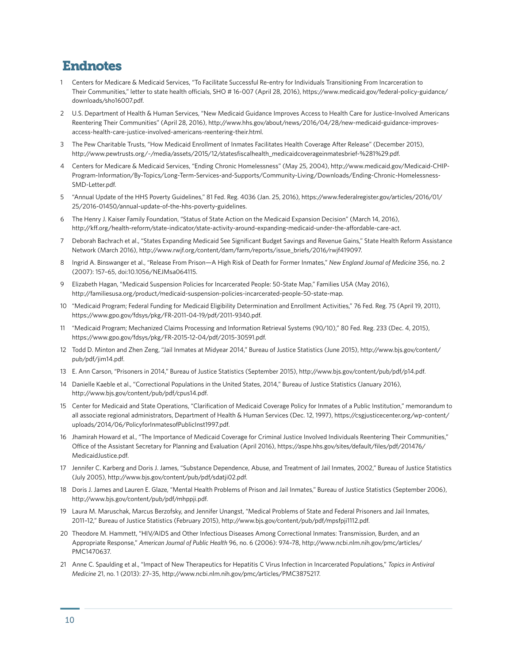### Endnotes

- 1 Centers for Medicare & Medicaid Services, "To Facilitate Successful Re-entry for Individuals Transitioning From Incarceration to Their Communities," letter to state health officials, SHO # 16-007 (April 28, 2016), [https://www.medicaid.gov/federal-policy-guidance/](https://www.medicaid.gov/federal-policy-guidance/downloads/sho16007.pdf) [downloads/sho16007.pdf.](https://www.medicaid.gov/federal-policy-guidance/downloads/sho16007.pdf)
- 2 U.S. Department of Health & Human Services, "New Medicaid Guidance Improves Access to Health Care for Justice-Involved Americans Reentering Their Communities" (April 28, 2016)[, http://www.hhs.gov/about/news/2016/04/28/new-medicaid-guidance-improves](http://www.hhs.gov/about/news/2016/04/28/new-medicaid-guidance-improves-access-health-care-justice-involved-americans-reentering-their.html)[access-health-care-justice-involved-americans-reentering-their.html.](http://www.hhs.gov/about/news/2016/04/28/new-medicaid-guidance-improves-access-health-care-justice-involved-americans-reentering-their.html)
- 3 The Pew Charitable Trusts, "How Medicaid Enrollment of Inmates Facilitates Health Coverage After Release" (December 2015), http://www.pewtrusts.org/~/media/assets/2015/12/statesfiscalhealth\_medicaidcoverageinmatesbrief-%281%29.pdf.
- 4 Centers for Medicare & Medicaid Services, "Ending Chronic Homelessness" (May 25, 2004)[, http://www.medicaid.gov/Medicaid-CHIP-](http://www.medicaid.gov/Medicaid-CHIP-Program-Information/By-Topics/Long-Term-Services-and-Supports/Community-Living/Downloads/Ending-Chronic-Homelessness-SMD-Letter.pdf)[Program-Information/By-Topics/Long-Term-Services-and-Supports/Community-Living/Downloads/Ending-Chronic-Homelessness-](http://www.medicaid.gov/Medicaid-CHIP-Program-Information/By-Topics/Long-Term-Services-and-Supports/Community-Living/Downloads/Ending-Chronic-Homelessness-SMD-Letter.pdf)[SMD-Letter.pdf.](http://www.medicaid.gov/Medicaid-CHIP-Program-Information/By-Topics/Long-Term-Services-and-Supports/Community-Living/Downloads/Ending-Chronic-Homelessness-SMD-Letter.pdf)
- 5 "Annual Update of the HHS Poverty Guidelines," 81 Fed. Reg. 4036 (Jan. 25, 2016)[, https://www.federalregister.gov/articles/2016/01/](https://www.federalregister.gov/articles/2016/01/25/2016-01450/annual-update-of-the-hhs-poverty-guidelines) [25/2016-01450/annual-update-of-the-hhs-poverty-guidelines.](https://www.federalregister.gov/articles/2016/01/25/2016-01450/annual-update-of-the-hhs-poverty-guidelines.)
- 6 The Henry J. Kaiser Family Foundation, "Status of State Action on the Medicaid Expansion Decision" (March 14, 2016), http://kff.org/health-reform/state-indicator/state-activity-around-expanding-medicaid-under-the-affordable-care-act.
- 7 Deborah Bachrach et al., "States Expanding Medicaid See Significant Budget Savings and Revenue Gains," State Health Reform Assistance Network (March 2016), http://www.rwjf.org/content/dam/farm/reports/issue\_briefs/2016/rwjf419097.
- 8 Ingrid A. Binswanger et al., "Release From Prison—A High Risk of Death for Former Inmates," *New England Journal of Medicine* 356, no. 2 (2007): 157–65, doi:10.1056/NEJMsa064115.
- 9 Elizabeth Hagan, "Medicaid Suspension Policies for Incarcerated People: 50-State Map," Families USA (May 2016), http://familiesusa.org/product/medicaid-suspension-policies-incarcerated-people-50-state-map.
- 10 "Medicaid Program; Federal Funding for Medicaid Eligibility Determination and Enrollment Activities," 76 Fed. Reg. 75 (April 19, 2011), https://www.gpo.gov/fdsys/pkg/FR-2011-04-19/pdf/2011-9340.pdf.
- 11 "Medicaid Program; Mechanized Claims Processing and Information Retrieval Systems (90/10)," 80 Fed. Reg. 233 (Dec. 4, 2015), https://www.gpo.gov/fdsys/pkg/FR-2015-12-04/pdf/2015-30591.pdf.
- 12 Todd D. Minton and Zhen Zeng, "Jail Inmates at Midyear 2014," Bureau of Justice Statistics (June 2015)[, http://www.bjs.gov/content/](http://www.bjs.gov/content/pub/pdf/jim14.pdf) [pub/pdf/jim14.pdf.](http://www.bjs.gov/content/pub/pdf/jim14.pdf)
- 13 E. Ann Carson, "Prisoners in 2014," Bureau of Justice Statistics (September 2015), http://www.bjs.gov/content/pub/pdf/p14.pdf.
- 14 Danielle Kaeble et al., "Correctional Populations in the United States, 2014," Bureau of Justice Statistics (January 2016), http://www.bjs.gov/content/pub/pdf/cpus14.pdf.
- 15 Center for Medicaid and State Operations, "Clarification of Medicaid Coverage Policy for Inmates of a Public Institution," memorandum to all associate regional administrators, Department of Health & Human Services (Dec. 12, 1997), [https://csgjusticecenter.org/wp-content/](https://csgjusticecenter.org/wp-content/uploads/2014/06/PolicyforInmatesofPublicInst1997.pdf) [uploads/2014/06/PolicyforInmatesofPublicInst1997.pdf.](https://csgjusticecenter.org/wp-content/uploads/2014/06/PolicyforInmatesofPublicInst1997.pdf)
- 16 Jhamirah Howard et al., "The Importance of Medicaid Coverage for Criminal Justice Involved Individuals Reentering Their Communities," Office of the Assistant Secretary for Planning and Evaluation (April 2016)[, https://aspe.hhs.gov/sites/default/files/pdf/201476/](https://aspe.hhs.gov/sites/default/files/pdf/201476/MedicaidJustice.pdf) [MedicaidJustice.pdf.](https://aspe.hhs.gov/sites/default/files/pdf/201476/MedicaidJustice.pdf)
- 17 Jennifer C. Karberg and Doris J. James, "Substance Dependence, Abuse, and Treatment of Jail Inmates, 2002," Bureau of Justice Statistics (July 2005), http://www.bjs.gov/content/pub/pdf/sdatji02.pdf.
- 18 Doris J. James and Lauren E. Glaze, "Mental Health Problems of Prison and Jail Inmates," Bureau of Justice Statistics (September 2006), http://www.bjs.gov/content/pub/pdf/mhppji.pdf.
- 19 Laura M. Maruschak, Marcus Berzofsky, and Jennifer Unangst, "Medical Problems of State and Federal Prisoners and Jail Inmates, 2011–12," Bureau of Justice Statistics (February 2015), http://www.bjs.gov/content/pub/pdf/mpsfpji1112.pdf.
- 20 Theodore M. Hammett, "HIV/AIDS and Other Infectious Diseases Among Correctional Inmates: Transmission, Burden, and an Appropriate Response," *American Journal of Public Health* 96, no. 6 (2006): 974–78, [http://www.ncbi.nlm.nih.gov/pmc/articles/](http://www.ncbi.nlm.nih.gov/pmc/articles/PMC1470637) [PMC1470637.](http://www.ncbi.nlm.nih.gov/pmc/articles/PMC1470637)
- 21 Anne C. Spaulding et al., "Impact of New Therapeutics for Hepatitis C Virus Infection in Incarcerated Populations," *Topics in Antiviral Medicine* 21, no. 1 (2013): 27–35, http://www.ncbi.nlm.nih.gov/pmc/articles/PMC3875217.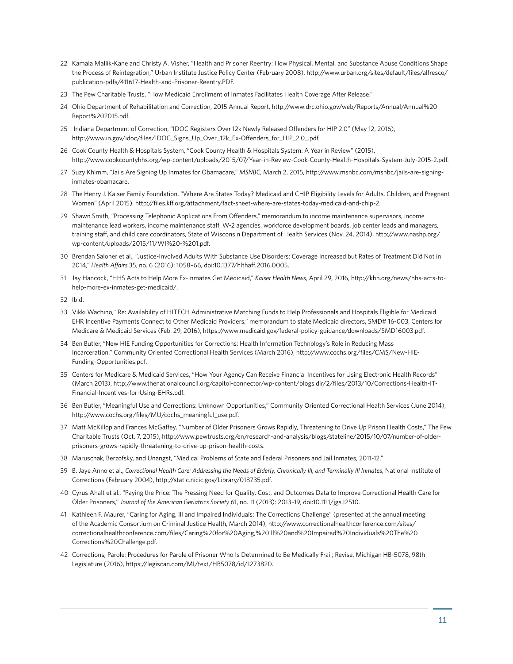- 22 Kamala Mallik-Kane and Christy A. Visher, "Health and Prisoner Reentry: How Physical, Mental, and Substance Abuse Conditions Shape the Process of Reintegration," Urban Institute Justice Policy Center (February 2008)[, http://www.urban.org/sites/default/files/alfresco/](http://www.urban.org/sites/default/files/alfresco/publication-pdfs/411617-Health-and-Prisoner-Reentry.PDF) [publication-pdfs/411617-Health-and-Prisoner-Reentry.PDF.](http://www.urban.org/sites/default/files/alfresco/publication-pdfs/411617-Health-and-Prisoner-Reentry.PDF)
- 23 The Pew Charitable Trusts, "How Medicaid Enrollment of Inmates Facilitates Health Coverage After Release."
- 24 Ohio Department of Rehabilitation and Correction, 2015 Annual Report[, http://www.drc.ohio.gov/web/Reports/Annual/Annual%20](http://www.drc.ohio.gov/web/Reports/Annual/Annual%20Report%202015.pdf) [Report%202015.pdf.](http://www.drc.ohio.gov/web/Reports/Annual/Annual%20Report%202015.pdf)
- 25 Indiana Department of Correction, "IDOC Registers Over 12k Newly Released Offenders for HIP 2.0" (May 12, 2016), http://www.in.gov/idoc/files/IDOC\_Signs\_Up\_Over\_12k\_Ex-Offenders\_for\_HIP\_2.0\_.pdf.
- 26 Cook County Health & Hospitals System, "Cook County Health & Hospitals System: A Year in Review" (2015), http://www.cookcountyhhs.org/wp-content/uploads/2015/07/Year-in-Review-Cook-County-Health-Hospitals-System-July-2015-2.pdf.
- 27 Suzy Khimm, "Jails Are Signing Up Inmates for Obamacare," *MSNBC*, March 2, 2015[, http://www.msnbc.com/msnbc/jails-are-signing](http://www.msnbc.com/msnbc/jails-are-signing-inmates-obamacare)[inmates-obamacare.](http://www.msnbc.com/msnbc/jails-are-signing-inmates-obamacare)
- 28 The Henry J. Kaiser Family Foundation, "Where Are States Today? Medicaid and CHIP Eligibility Levels for Adults, Children, and Pregnant Women" (April 2015), http://files.kff.org/attachment/fact-sheet-where-are-states-today-medicaid-and-chip-2.
- 29 Shawn Smith, "Processing Telephonic Applications From Offenders," memorandum to income maintenance supervisors, income maintenance lead workers, income maintenance staff, W-2 agencies, workforce development boards, job center leads and managers, training staff, and child care coordinators, State of Wisconsin Department of Health Services (Nov. 24, 2014)[, http://www.nashp.org/](http://www.nashp.org/wp-content/uploads/2015/11/WI%20-%201.pdf) [wp-content/uploads/2015/11/WI%20-%201.pdf.](http://www.nashp.org/wp-content/uploads/2015/11/WI%20-%201.pdf)
- 30 Brendan Saloner et al., "Justice-Involved Adults With Substance Use Disorders: Coverage Increased but Rates of Treatment Did Not in 2014," *Health Affairs* 35, no. 6 (2016): 1058–66, doi:10.1377/hlthaff.2016.0005.
- 31 Jay Hancock, "HHS Acts to Help More Ex-Inmates Get Medicaid," *Kaiser Health News*, April 29, 2016, http://khn.org/news/hhs-acts-tohelp-more-ex-inmates-get-medicaid/.
- 32 Ibid.
- 33 Vikki Wachino, "Re: Availability of HITECH Administrative Matching Funds to Help Professionals and Hospitals Eligible for Medicaid EHR Incentive Payments Connect to Other Medicaid Providers," memorandum to state Medicaid directors, SMD# 16-003, Centers for Medicare & Medicaid Services (Feb. 29, 2016), https://www.medicaid.gov/federal-policy-guidance/downloads/SMD16003.pdf.
- 34 Ben Butler, "New HIE Funding Opportunities for Corrections: Health Information Technology's Role in Reducing Mass Incarceration," Community Oriented Correctional Health Services (March 2016)[, http://www.cochs.org/files/CMS/New-HIE-](http://www.cochs.org/files/CMS/New-HIE-Funding-Opportunities.pdf)[Funding-Opportunities.pdf.](http://www.cochs.org/files/CMS/New-HIE-Funding-Opportunities.pdf)
- 35 Centers for Medicare & Medicaid Services, "How Your Agency Can Receive Financial Incentives for Using Electronic Health Records" (March 2013)[, http://www.thenationalcouncil.org/capitol-connector/wp-content/blogs.dir/2/files/2013/10/Corrections-Health-IT-](http://www.thenationalcouncil.org/capitol-connector/wp-content/blogs.dir/2/files/2013/10/Corrections-Health-IT-Financial-Incentives-for-Using-EHRs.pdf)[Financial-Incentives-for-Using-EHRs.pdf.](http://www.thenationalcouncil.org/capitol-connector/wp-content/blogs.dir/2/files/2013/10/Corrections-Health-IT-Financial-Incentives-for-Using-EHRs.pdf)
- 36 Ben Butler, "Meaningful Use and Corrections: Unknown Opportunities," Community Oriented Correctional Health Services (June 2014), http://www.cochs.org/files/MU/cochs\_meaningful\_use.pdf.
- 37 Matt McKillop and Frances McGaffey, "Number of Older Prisoners Grows Rapidly, Threatening to Drive Up Prison Health Costs," The Pew Charitable Trusts (Oct. 7, 2015)[, http://www.pewtrusts.org/en/research-and-analysis/blogs/stateline/2015/10/07/number-of-older](http://www.pewtrusts.org/en/research-and-analysis/blogs/stateline/2015/10/07/number-of-older-prisoners-grows-rapidly-threatening-to-drive-up-prison-health-costs)[prisoners-grows-rapidly-threatening-to-drive-up-prison-health-costs.](http://www.pewtrusts.org/en/research-and-analysis/blogs/stateline/2015/10/07/number-of-older-prisoners-grows-rapidly-threatening-to-drive-up-prison-health-costs)
- 38 Maruschak, Berzofsky, and Unangst, "Medical Problems of State and Federal Prisoners and Jail Inmates, 2011-12."
- 39 B. Jaye Anno et al., *Correctional Health Care: Addressing the Needs of Elderly, Chronically Ill, and Terminally Ill Inmates*, National Institute of Corrections (February 2004), http://static.nicic.gov/Library/018735.pdf.
- 40 Cyrus Ahalt et al., "Paying the Price: The Pressing Need for Quality, Cost, and Outcomes Data to Improve Correctional Health Care for Older Prisoners," *Journal of the American Geriatrics Society* 61, no. 11 (2013): 2013–19, doi:10.1111/jgs.12510.
- 41 Kathleen F. Maurer, "Caring for Aging, Ill and Impaired Individuals: The Corrections Challenge" (presented at the annual meeting of the Academic Consortium on Criminal Justice Health, March 2014)[, http://www.correctionalhealthconference.com/sites/](http://www.correctionalhealthconference.com/sites/correctionalhealthconference.com/files/Caring%20for%20Aging,%20Ill%20and%20Impaired%20Individuals%20The%20Corrections%20Challenge.pdf) [correctionalhealthconference.com/files/Caring%20for%20Aging,%20Ill%20and%20Impaired%20Individuals%20The%20](http://www.correctionalhealthconference.com/sites/correctionalhealthconference.com/files/Caring%20for%20Aging,%20Ill%20and%20Impaired%20Individuals%20The%20Corrections%20Challenge.pdf) [Corrections%20Challenge.pdf.](http://www.correctionalhealthconference.com/sites/correctionalhealthconference.com/files/Caring%20for%20Aging,%20Ill%20and%20Impaired%20Individuals%20The%20Corrections%20Challenge.pdf)
- 42 Corrections; Parole; Procedures for Parole of Prisoner Who Is Determined to Be Medically Frail; Revise, Michigan HB-5078, 98th Legislature (2016), https://legiscan.com/MI/text/HB5078/id/1273820.